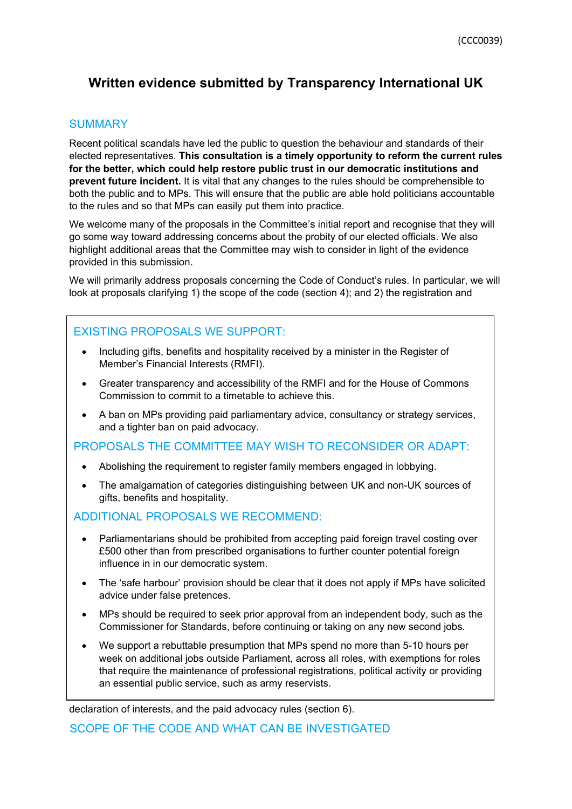# **Written evidence submitted by Transparency International UK**

## **SUMMARY**

Recent political scandals have led the public to question the behaviour and standards of their elected representatives. **This consultation is a timely opportunity to reform the current rules for the better, which could help restore public trust in our democratic institutions and prevent future incident.** It is vital that any changes to the rules should be comprehensible to both the public and to MPs. This will ensure that the public are able hold politicians accountable to the rules and so that MPs can easily put them into practice.

We welcome many of the proposals in the Committee's initial report and recognise that they will go some way toward addressing concerns about the probity of our elected officials. We also highlight additional areas that the Committee may wish to consider in light of the evidence provided in this submission.

We will primarily address proposals concerning the Code of Conduct's rules. In particular, we will look at proposals clarifying 1) the scope of the code (section 4); and 2) the registration and

# EXISTING PROPOSALS WE SUPPORT:

- Including gifts, benefits and hospitality received by a minister in the Register of Member's Financial Interests (RMFI).
- Greater transparency and accessibility of the RMFI and for the House of Commons Commission to commit to a timetable to achieve this.
- A ban on MPs providing paid parliamentary advice, consultancy or strategy services, and a tighter ban on paid advocacy.

PROPOSALS THE COMMITTEE MAY WISH TO RECONSIDER OR ADAPT:

- Abolishing the requirement to register family members engaged in lobbying.
- The amalgamation of categories distinguishing between UK and non-UK sources of gifts, benefits and hospitality.

### ADDITIONAL PROPOSALS WE RECOMMEND:

- Parliamentarians should be prohibited from accepting paid foreign travel costing over £500 other than from prescribed organisations to further counter potential foreign influence in in our democratic system.
- The 'safe harbour' provision should be clear that it does not apply if MPs have solicited advice under false pretences.
- MPs should be required to seek prior approval from an independent body, such as the Commissioner for Standards, before continuing or taking on any new second jobs.
- We support a rebuttable presumption that MPs spend no more than 5-10 hours per week on additional jobs outside Parliament, across all roles, with exemptions for roles that require the maintenance of professional registrations, political activity or providing an essential public service, such as army reservists.

declaration of interests, and the paid advocacy rules (section 6).

SCOPE OF THE CODE AND WHAT CAN BE INVESTIGATED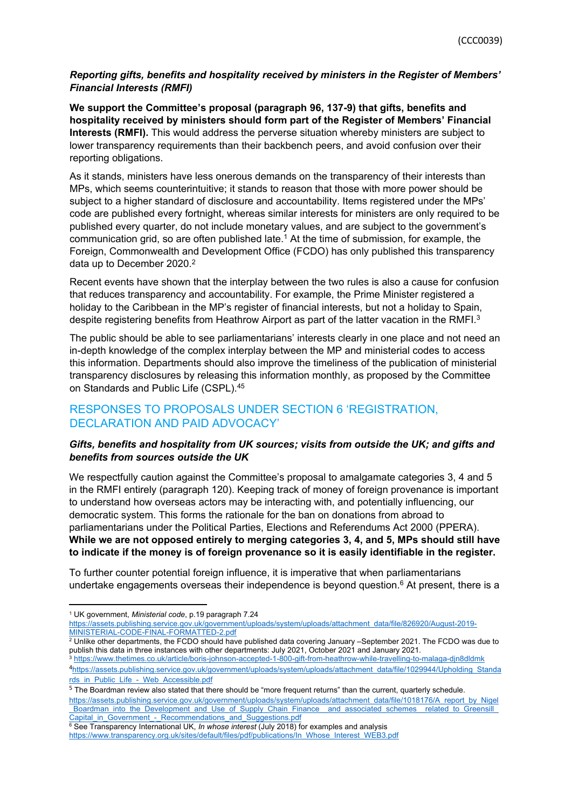### *Reporting gifts, benefits and hospitality received by ministers in the Register of Members' Financial Interests (RMFI)*

**We support the Committee's proposal (paragraph 96, 137-9) that gifts, benefits and hospitality received by ministers should form part of the Register of Members' Financial Interests (RMFI).** This would address the perverse situation whereby ministers are subject to lower transparency requirements than their backbench peers, and avoid confusion over their reporting obligations.

As it stands, ministers have less onerous demands on the transparency of their interests than MPs, which seems counterintuitive; it stands to reason that those with more power should be subject to a higher standard of disclosure and accountability. Items registered under the MPs' code are published every fortnight, whereas similar interests for ministers are only required to be published every quarter, do not include monetary values, and are subject to the government's communication grid, so are often published late.<sup>1</sup> At the time of submission, for example, the Foreign, Commonwealth and Development Office (FCDO) has only published this transparency data up to December 2020.<sup>2</sup>

Recent events have shown that the interplay between the two rules is also a cause for confusion that reduces transparency and accountability. For example, the Prime Minister registered a holiday to the Caribbean in the MP's register of financial interests, but not a holiday to Spain, despite registering benefits from Heathrow Airport as part of the latter vacation in the RMFI.<sup>3</sup>

The public should be able to see parliamentarians' interests clearly in one place and not need an in-depth knowledge of the complex interplay between the MP and ministerial codes to access this information. Departments should also improve the timeliness of the publication of ministerial transparency disclosures by releasing this information monthly, as proposed by the Committee on Standards and Public Life (CSPL).<sup>45</sup>

# RESPONSES TO PROPOSALS UNDER SECTION 6 'REGISTRATION, DECLARATION AND PAID ADVOCACY'

#### *Gifts, benefits and hospitality from UK sources; visits from outside the UK; and gifts and benefits from sources outside the UK*

We respectfully caution against the Committee's proposal to amalgamate categories 3, 4 and 5 in the RMFI entirely (paragraph 120). Keeping track of money of foreign provenance is important to understand how overseas actors may be interacting with, and potentially influencing, our democratic system. This forms the rationale for the ban on donations from abroad to parliamentarians under the Political Parties, Elections and Referendums Act 2000 (PPERA). **While we are not opposed entirely to merging categories 3, 4, and 5, MPs should still have to indicate if the money is of foreign provenance so it is easily identifiable in the register.**

To further counter potential foreign influence, it is imperative that when parliamentarians undertake engagements overseas their independence is beyond question.<sup>6</sup> At present, there is a

 $^2$  Unlike other departments, the FCDO should have published data covering January –September 2021. The FCDO was due to publish this data in three instances with other departments: July 2021, October 2021 and January 2021.

<sup>1</sup> UK government, *Ministerial code*, p.19 paragraph 7.24

[https://assets.publishing.service.gov.uk/government/uploads/system/uploads/attachment\\_data/file/826920/August-2019-](https://assets.publishing.service.gov.uk/government/uploads/system/uploads/attachment_data/file/826920/August-2019-MINISTERIAL-CODE-FINAL-FORMATTED-2.pdf) [MINISTERIAL-CODE-FINAL-FORMATTED-2.pdf](https://assets.publishing.service.gov.uk/government/uploads/system/uploads/attachment_data/file/826920/August-2019-MINISTERIAL-CODE-FINAL-FORMATTED-2.pdf)

<sup>&</sup>lt;sup>3</sup> <https://www.thetimes.co.uk/article/boris-johnson-accepted-1-800-gift-from-heathrow-while-travelling-to-malaga-djn8dldmk> <sup>4</sup>[https://assets.publishing.service.gov.uk/government/uploads/system/uploads/attachment\\_data/file/1029944/Upholding\\_Standa](https://assets.publishing.service.gov.uk/government/uploads/system/uploads/attachment_data/file/1029944/Upholding_Standards_in_Public_Life_-_Web_Accessible.pdf) [rds\\_in\\_Public\\_Life\\_-\\_Web\\_Accessible.pdf](https://assets.publishing.service.gov.uk/government/uploads/system/uploads/attachment_data/file/1029944/Upholding_Standards_in_Public_Life_-_Web_Accessible.pdf)

<sup>5</sup> The Boardman review also stated that there should be "more frequent returns" than the current, quarterly schedule. [https://assets.publishing.service.gov.uk/government/uploads/system/uploads/attachment\\_data/file/1018176/A\\_report\\_by\\_Nigel](https://assets.publishing.service.gov.uk/government/uploads/system/uploads/attachment_data/file/1018176/A_report_by_Nigel_Boardman_into_the_Development_and_Use_of_Supply_Chain_Finance__and_associated_schemes__related_to_Greensill_Capital_in_Government_-_Recommendations_and_Suggestions.pdf) Boardman\_into\_the\_Development\_and\_Use\_of\_Supply\_Chain\_Finance\_\_and\_associated\_schemes\_\_related\_to\_Greensill\_ Capital\_in\_Government - Recommendations\_and\_Suggestions.pdf

<sup>6</sup> See Transparency International UK, *In whose interest* (July 2018) for examples and analysis

[https://www.transparency.org.uk/sites/default/files/pdf/publications/In\\_Whose\\_Interest\\_WEB3.pdf](https://www.transparency.org.uk/sites/default/files/pdf/publications/In_Whose_Interest_WEB3.pdf)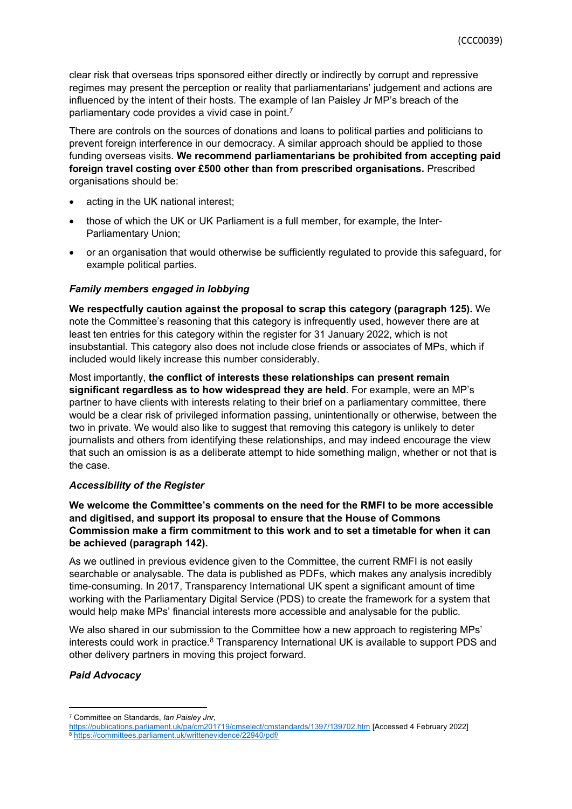clear risk that overseas trips sponsored either directly or indirectly by corrupt and repressive regimes may present the perception or reality that parliamentarians' judgement and actions are influenced by the intent of their hosts. The example of Ian Paisley Jr MP's breach of the parliamentary code provides a vivid case in point.<sup>7</sup>

There are controls on the sources of donations and loans to political parties and politicians to prevent foreign interference in our democracy. A similar approach should be applied to those funding overseas visits. **We recommend parliamentarians be prohibited from accepting paid foreign travel costing over £500 other than from prescribed organisations.** Prescribed organisations should be:

- acting in the UK national interest;
- those of which the UK or UK Parliament is a full member, for example, the Inter-Parliamentary Union;
- or an organisation that would otherwise be sufficiently regulated to provide this safeguard, for example political parties.

### *Family members engaged in lobbying*

**We respectfully caution against the proposal to scrap this category (paragraph 125).** We note the Committee's reasoning that this category is infrequently used, however there are at least ten entries for this category within the register for 31 January 2022, which is not insubstantial. This category also does not include close friends or associates of MPs, which if included would likely increase this number considerably.

Most importantly, **the conflict of interests these relationships can present remain significant regardless as to how widespread they are held**. For example, were an MP's partner to have clients with interests relating to their brief on a parliamentary committee, there would be a clear risk of privileged information passing, unintentionally or otherwise, between the two in private. We would also like to suggest that removing this category is unlikely to deter journalists and others from identifying these relationships, and may indeed encourage the view that such an omission is as a deliberate attempt to hide something malign, whether or not that is the case.

#### *Accessibility of the Register*

**We welcome the Committee's comments on the need for the RMFI to be more accessible and digitised, and support its proposal to ensure that the House of Commons Commission make a firm commitment to this work and to set a timetable for when it can be achieved (paragraph 142).**

As we outlined in previous evidence given to the Committee, the current RMFI is not easily searchable or analysable. The data is published as PDFs, which makes any analysis incredibly time-consuming. In 2017, Transparency International UK spent a significant amount of time working with the Parliamentary Digital Service (PDS) to create the framework for a system that would help make MPs' financial interests more accessible and analysable for the public.

We also shared in our submission to the Committee how a new approach to registering MPs' interests could work in practice.<sup>8</sup> Transparency International UK is available to support PDS and other delivery partners in moving this project forward.

### *Paid Advocacy*

<sup>7</sup> Committee on Standards, *Ian Paisley Jnr,*

<https://publications.parliament.uk/pa/cm201719/cmselect/cmstandards/1397/139702.htm> [Accessed 4 February 2022] 8 <https://committees.parliament.uk/writtenevidence/22940/pdf/>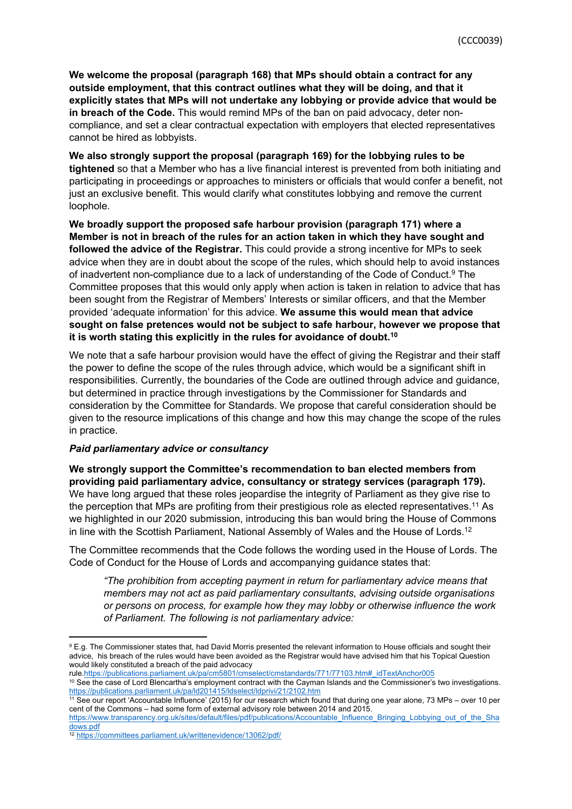**We welcome the proposal (paragraph 168) that MPs should obtain a contract for any outside employment, that this contract outlines what they will be doing, and that it explicitly states that MPs will not undertake any lobbying or provide advice that would be in breach of the Code.** This would remind MPs of the ban on paid advocacy, deter noncompliance, and set a clear contractual expectation with employers that elected representatives cannot be hired as lobbyists.

**We also strongly support the proposal (paragraph 169) for the lobbying rules to be tightened** so that a Member who has a live financial interest is prevented from both initiating and participating in proceedings or approaches to ministers or officials that would confer a benefit, not just an exclusive benefit. This would clarify what constitutes lobbying and remove the current loophole.

**We broadly support the proposed safe harbour provision (paragraph 171) where a Member is not in breach of the rules for an action taken in which they have sought and followed the advice of the Registrar.** This could provide a strong incentive for MPs to seek advice when they are in doubt about the scope of the rules, which should help to avoid instances of inadvertent non-compliance due to a lack of understanding of the Code of Conduct.<sup>9</sup> The Committee proposes that this would only apply when action is taken in relation to advice that has been sought from the Registrar of Members' Interests or similar officers, and that the Member provided 'adequate information' for this advice. **We assume this would mean that advice sought on false pretences would not be subject to safe harbour, however we propose that it is worth stating this explicitly in the rules for avoidance of doubt.<sup>10</sup>**

We note that a safe harbour provision would have the effect of giving the Registrar and their staff the power to define the scope of the rules through advice, which would be a significant shift in responsibilities. Currently, the boundaries of the Code are outlined through advice and guidance, but determined in practice through investigations by the Commissioner for Standards and consideration by the Committee for Standards. We propose that careful consideration should be given to the resource implications of this change and how this may change the scope of the rules in practice.

#### *Paid parliamentary advice or consultancy*

**We strongly support the Committee's recommendation to ban elected members from providing paid parliamentary advice, consultancy or strategy services (paragraph 179).** We have long argued that these roles jeopardise the integrity of Parliament as they give rise to the perception that MPs are profiting from their prestigious role as elected representatives.<sup>11</sup> As we highlighted in our 2020 submission, introducing this ban would bring the House of Commons in line with the Scottish Parliament, National Assembly of Wales and the House of Lords.<sup>12</sup>

The Committee recommends that the Code follows the wording used in the House of Lords. The Code of Conduct for the House of Lords and accompanying guidance states that:

*"The prohibition from accepting payment in return for parliamentary advice means that members may not act as paid parliamentary consultants, advising outside organisations or persons on process, for example how they may lobby or otherwise influence the work of Parliament. The following is not parliamentary advice:*

<sup>9</sup> E.g. The Commissioner states that, had David Morris presented the relevant information to House officials and sought their advice, his breach of the rules would have been avoided as the Registrar would have advised him that his Topical Question would likely constituted a breach of the paid advocacy

rule.[https://publications.parliament.uk/pa/cm5801/cmselect/cmstandards/771/77103.htm#\\_idTextAnchor005](https://publications.parliament.uk/pa/cm5801/cmselect/cmstandards/771/77103.htm#_idTextAnchor005)

<sup>10</sup> See the case of Lord Blencartha's employment contract with the Cayman Islands and the Commissioner's two investigations. <https://publications.parliament.uk/pa/ld201415/ldselect/ldprivi/21/2102.htm>

<sup>11</sup> See our report 'Accountable Influence' (2015) for our research which found that during one year alone, 73 MPs – over 10 per cent of the Commons – had some form of external advisory role between 2014 and 2015. [https://www.transparency.org.uk/sites/default/files/pdf/publications/Accountable\\_Influence\\_Bringing\\_Lobbying\\_out\\_of\\_the\\_Sha](https://www.transparency.org.uk/sites/default/files/pdf/publications/Accountable_Influence_Bringing_Lobbying_out_of_the_Shadows.pdf) [dows.pdf](https://www.transparency.org.uk/sites/default/files/pdf/publications/Accountable_Influence_Bringing_Lobbying_out_of_the_Shadows.pdf)

<sup>12</sup> <https://committees.parliament.uk/writtenevidence/13062/pdf/>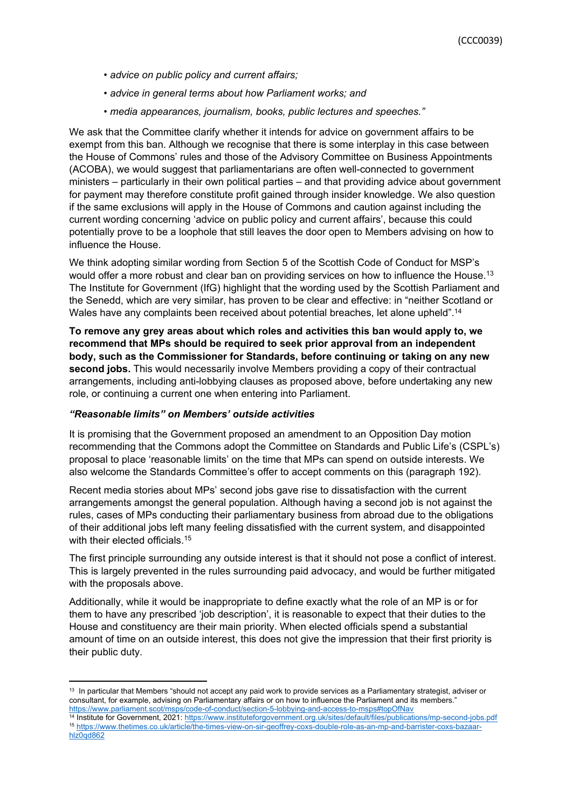- *• advice on public policy and current affairs;*
- *• advice in general terms about how Parliament works; and*
- *• media appearances, journalism, books, public lectures and speeches."*

We ask that the Committee clarify whether it intends for advice on government affairs to be exempt from this ban. Although we recognise that there is some interplay in this case between the House of Commons' rules and those of the Advisory Committee on Business Appointments (ACOBA), we would suggest that parliamentarians are often well-connected to government ministers – particularly in their own political parties – and that providing advice about government for payment may therefore constitute profit gained through insider knowledge. We also question if the same exclusions will apply in the House of Commons and caution against including the current wording concerning 'advice on public policy and current affairs', because this could potentially prove to be a loophole that still leaves the door open to Members advising on how to influence the House.

We think adopting similar wording from Section 5 of the Scottish Code of Conduct for MSP's would offer a more robust and clear ban on providing services on how to influence the House.<sup>13</sup> The Institute for Government (IfG) highlight that the wording used by the Scottish Parliament and the Senedd, which are very similar, has proven to be clear and effective: in "neither Scotland or Wales have any complaints been received about potential breaches, let alone upheld".<sup>14</sup>

**To remove any grey areas about which roles and activities this ban would apply to, we recommend that MPs should be required to seek prior approval from an independent body, such as the Commissioner for Standards, before continuing or taking on any new second jobs.** This would necessarily involve Members providing a copy of their contractual arrangements, including anti-lobbying clauses as proposed above, before undertaking any new role, or continuing a current one when entering into Parliament.

#### *"Reasonable limits" on Members' outside activities*

It is promising that the Government proposed an amendment to an Opposition Day motion recommending that the Commons adopt the Committee on Standards and Public Life's (CSPL's) proposal to place 'reasonable limits' on the time that MPs can spend on outside interests. We also welcome the Standards Committee's offer to accept comments on this (paragraph 192).

Recent media stories about MPs' second jobs gave rise to dissatisfaction with the current arrangements amongst the general population. Although having a second job is not against the rules, cases of MPs conducting their parliamentary business from abroad due to the obligations of their additional jobs left many feeling dissatisfied with the current system, and disappointed with their elected officials.<sup>15</sup>

The first principle surrounding any outside interest is that it should not pose a conflict of interest. This is largely prevented in the rules surrounding paid advocacy, and would be further mitigated with the proposals above.

Additionally, while it would be inappropriate to define exactly what the role of an MP is or for them to have any prescribed 'job description', it is reasonable to expect that their duties to the House and constituency are their main priority. When elected officials spend a substantial amount of time on an outside interest, this does not give the impression that their first priority is their public duty.

<sup>14</sup> Institute for Government, 2021: <https://www.instituteforgovernment.org.uk/sites/default/files/publications/mp-second-jobs.pdf> <sup>15</sup> [https://www.thetimes.co.uk/article/the-times-view-on-sir-geoffrey-coxs-double-role-as-an-mp-and-barrister-coxs-bazaar](https://www.thetimes.co.uk/article/the-times-view-on-sir-geoffrey-coxs-double-role-as-an-mp-and-barrister-coxs-bazaar-hlz0qd862)[hlz0qd862](https://www.thetimes.co.uk/article/the-times-view-on-sir-geoffrey-coxs-double-role-as-an-mp-and-barrister-coxs-bazaar-hlz0qd862)

<sup>&</sup>lt;sup>13</sup> In particular that Members "should not accept any paid work to provide services as a Parliamentary strategist, adviser or consultant, for example, advising on Parliamentary affairs or on how to influence the Parliament and its members." <https://www.parliament.scot/msps/code-of-conduct/section-5-lobbying-and-access-to-msps#topOfNav>